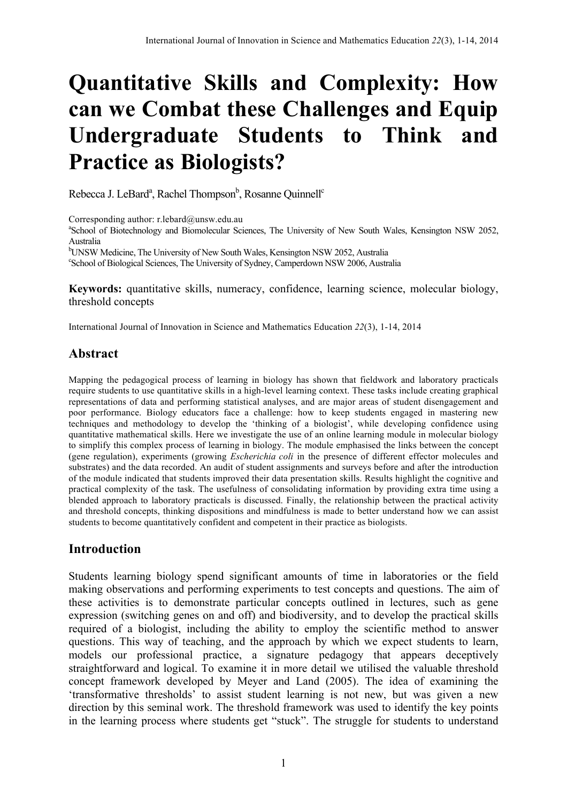# **Quantitative Skills and Complexity: How can we Combat these Challenges and Equip Undergraduate Students to Think and Practice as Biologists?**

Rebecca J. LeBard<sup>a</sup>, Rachel Thompson<sup>b</sup>, Rosanne Quinnell<sup>c</sup>

Corresponding author:  $r.$  lebard $@$ unsw.edu.au

<sup>a</sup>School of Biotechnology and Biomolecular Sciences, The University of New South Wales, Kensington NSW 2052, Australia

bUNSW Medicine, The University of New South Wales, Kensington NSW 2052, Australia<br>School of Biological Sciences, The University of Sydney, Comparison NSW 2006, Australia

School of Biological Sciences, The University of Sydney, Camperdown NSW 2006, Australia

**Keywords:** quantitative skills, numeracy, confidence, learning science, molecular biology, threshold concepts

International Journal of Innovation in Science and Mathematics Education *22*(3), 1-14, 2014

## **Abstract**

Mapping the pedagogical process of learning in biology has shown that fieldwork and laboratory practicals require students to use quantitative skills in a high-level learning context. These tasks include creating graphical representations of data and performing statistical analyses, and are major areas of student disengagement and poor performance. Biology educators face a challenge: how to keep students engaged in mastering new techniques and methodology to develop the 'thinking of a biologist', while developing confidence using quantitative mathematical skills. Here we investigate the use of an online learning module in molecular biology to simplify this complex process of learning in biology. The module emphasised the links between the concept (gene regulation), experiments (growing *Escherichia coli* in the presence of different effector molecules and substrates) and the data recorded. An audit of student assignments and surveys before and after the introduction of the module indicated that students improved their data presentation skills. Results highlight the cognitive and practical complexity of the task. The usefulness of consolidating information by providing extra time using a blended approach to laboratory practicals is discussed. Finally, the relationship between the practical activity and threshold concepts, thinking dispositions and mindfulness is made to better understand how we can assist students to become quantitatively confident and competent in their practice as biologists.

### **Introduction**

Students learning biology spend significant amounts of time in laboratories or the field making observations and performing experiments to test concepts and questions. The aim of these activities is to demonstrate particular concepts outlined in lectures, such as gene expression (switching genes on and off) and biodiversity, and to develop the practical skills required of a biologist, including the ability to employ the scientific method to answer questions. This way of teaching, and the approach by which we expect students to learn, models our professional practice, a signature pedagogy that appears deceptively straightforward and logical. To examine it in more detail we utilised the valuable threshold concept framework developed by Meyer and Land (2005). The idea of examining the 'transformative thresholds' to assist student learning is not new, but was given a new direction by this seminal work. The threshold framework was used to identify the key points in the learning process where students get "stuck". The struggle for students to understand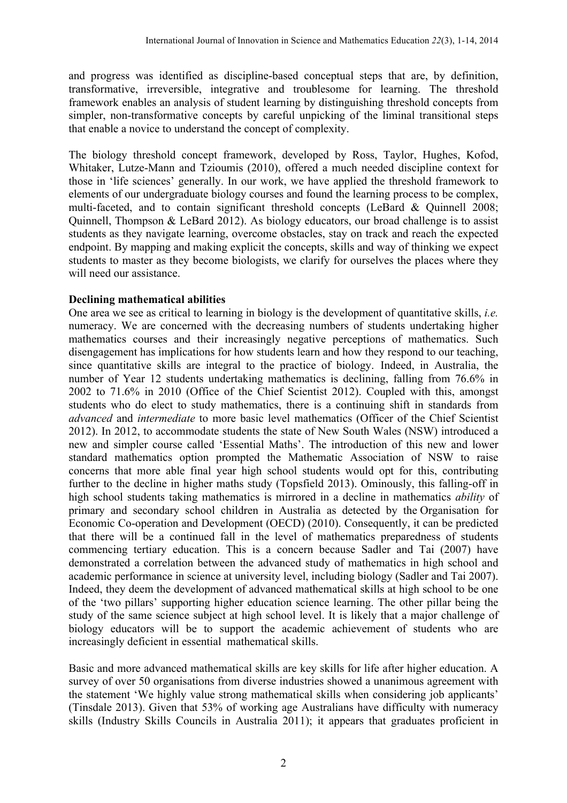and progress was identified as discipline-based conceptual steps that are, by definition, transformative, irreversible, integrative and troublesome for learning. The threshold framework enables an analysis of student learning by distinguishing threshold concepts from simpler, non-transformative concepts by careful unpicking of the liminal transitional steps that enable a novice to understand the concept of complexity.

The biology threshold concept framework, developed by Ross, Taylor, Hughes, Kofod, Whitaker, Lutze-Mann and Tzioumis (2010), offered a much needed discipline context for those in 'life sciences' generally. In our work, we have applied the threshold framework to elements of our undergraduate biology courses and found the learning process to be complex, multi-faceted, and to contain significant threshold concepts (LeBard & Quinnell 2008; Quinnell, Thompson & LeBard 2012). As biology educators, our broad challenge is to assist students as they navigate learning, overcome obstacles, stay on track and reach the expected endpoint. By mapping and making explicit the concepts, skills and way of thinking we expect students to master as they become biologists, we clarify for ourselves the places where they will need our assistance

### **Declining mathematical abilities**

One area we see as critical to learning in biology is the development of quantitative skills, *i.e.* numeracy. We are concerned with the decreasing numbers of students undertaking higher mathematics courses and their increasingly negative perceptions of mathematics. Such disengagement has implications for how students learn and how they respond to our teaching, since quantitative skills are integral to the practice of biology. Indeed, in Australia, the number of Year 12 students undertaking mathematics is declining, falling from 76.6% in 2002 to 71.6% in 2010 (Office of the Chief Scientist 2012). Coupled with this, amongst students who do elect to study mathematics, there is a continuing shift in standards from *advanced* and *intermediate* to more basic level mathematics (Officer of the Chief Scientist 2012). In 2012, to accommodate students the state of New South Wales (NSW) introduced a new and simpler course called 'Essential Maths'. The introduction of this new and lower standard mathematics option prompted the Mathematic Association of NSW to raise concerns that more able final year high school students would opt for this, contributing further to the decline in higher maths study (Topsfield 2013). Ominously, this falling-off in high school students taking mathematics is mirrored in a decline in mathematics *ability* of primary and secondary school children in Australia as detected by the Organisation for Economic Co-operation and Development (OECD) (2010). Consequently, it can be predicted that there will be a continued fall in the level of mathematics preparedness of students commencing tertiary education. This is a concern because Sadler and Tai (2007) have demonstrated a correlation between the advanced study of mathematics in high school and academic performance in science at university level, including biology (Sadler and Tai 2007). Indeed, they deem the development of advanced mathematical skills at high school to be one of the 'two pillars' supporting higher education science learning. The other pillar being the study of the same science subject at high school level. It is likely that a major challenge of biology educators will be to support the academic achievement of students who are increasingly deficient in essential mathematical skills.

Basic and more advanced mathematical skills are key skills for life after higher education. A survey of over 50 organisations from diverse industries showed a unanimous agreement with the statement 'We highly value strong mathematical skills when considering job applicants' (Tinsdale 2013). Given that 53% of working age Australians have difficulty with numeracy skills (Industry Skills Councils in Australia 2011); it appears that graduates proficient in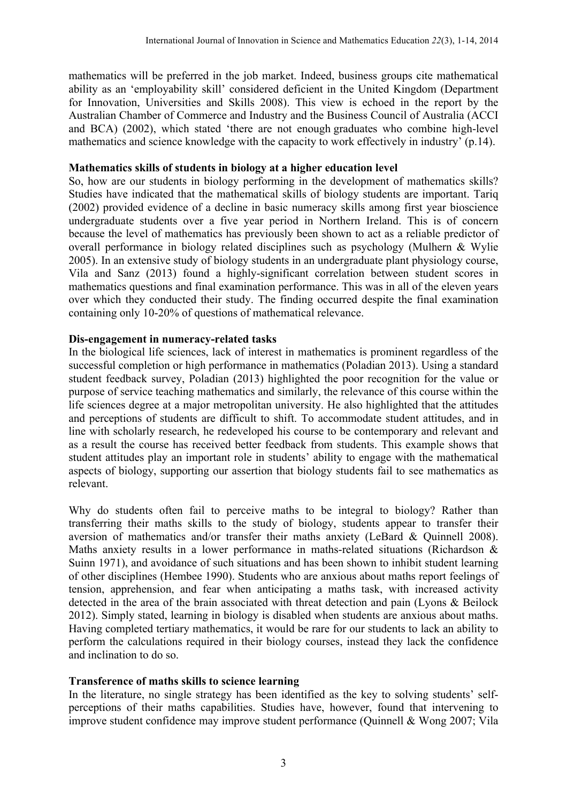mathematics will be preferred in the job market. Indeed, business groups cite mathematical ability as an 'employability skill' considered deficient in the United Kingdom (Department for Innovation, Universities and Skills 2008). This view is echoed in the report by the Australian Chamber of Commerce and Industry and the Business Council of Australia (ACCI and BCA) (2002), which stated 'there are not enough graduates who combine high-level mathematics and science knowledge with the capacity to work effectively in industry' (p.14).

### **Mathematics skills of students in biology at a higher education level**

So, how are our students in biology performing in the development of mathematics skills? Studies have indicated that the mathematical skills of biology students are important. Tariq (2002) provided evidence of a decline in basic numeracy skills among first year bioscience undergraduate students over a five year period in Northern Ireland. This is of concern because the level of mathematics has previously been shown to act as a reliable predictor of overall performance in biology related disciplines such as psychology (Mulhern & Wylie 2005). In an extensive study of biology students in an undergraduate plant physiology course, Vila and Sanz (2013) found a highly-significant correlation between student scores in mathematics questions and final examination performance. This was in all of the eleven years over which they conducted their study. The finding occurred despite the final examination containing only 10-20% of questions of mathematical relevance.

### **Dis-engagement in numeracy-related tasks**

In the biological life sciences, lack of interest in mathematics is prominent regardless of the successful completion or high performance in mathematics (Poladian 2013). Using a standard student feedback survey, Poladian (2013) highlighted the poor recognition for the value or purpose of service teaching mathematics and similarly, the relevance of this course within the life sciences degree at a major metropolitan university. He also highlighted that the attitudes and perceptions of students are difficult to shift. To accommodate student attitudes, and in line with scholarly research, he redeveloped his course to be contemporary and relevant and as a result the course has received better feedback from students. This example shows that student attitudes play an important role in students' ability to engage with the mathematical aspects of biology, supporting our assertion that biology students fail to see mathematics as relevant.

Why do students often fail to perceive maths to be integral to biology? Rather than transferring their maths skills to the study of biology, students appear to transfer their aversion of mathematics and/or transfer their maths anxiety (LeBard & Quinnell 2008). Maths anxiety results in a lower performance in maths-related situations (Richardson & Suinn 1971), and avoidance of such situations and has been shown to inhibit student learning of other disciplines (Hembee 1990). Students who are anxious about maths report feelings of tension, apprehension, and fear when anticipating a maths task, with increased activity detected in the area of the brain associated with threat detection and pain (Lyons & Beilock 2012). Simply stated, learning in biology is disabled when students are anxious about maths. Having completed tertiary mathematics, it would be rare for our students to lack an ability to perform the calculations required in their biology courses, instead they lack the confidence and inclination to do so.

### **Transference of maths skills to science learning**

In the literature, no single strategy has been identified as the key to solving students' selfperceptions of their maths capabilities. Studies have, however, found that intervening to improve student confidence may improve student performance (Quinnell & Wong 2007; Vila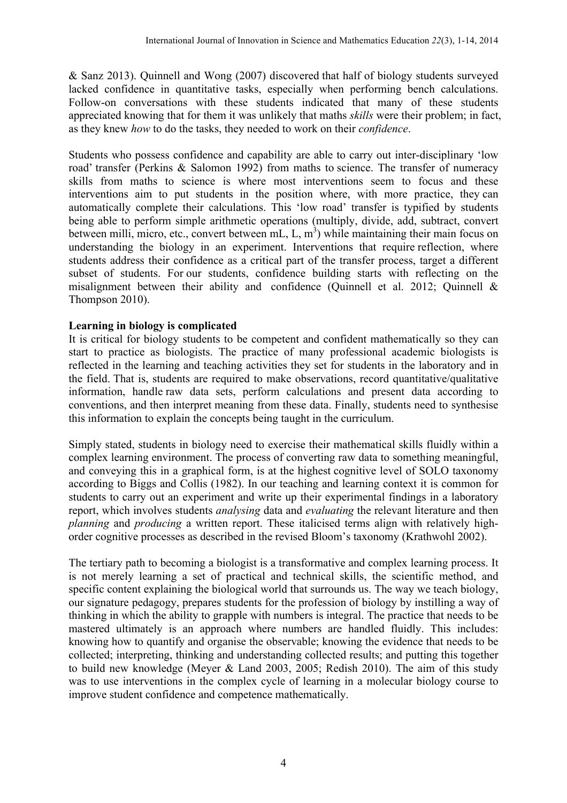& Sanz 2013). Quinnell and Wong (2007) discovered that half of biology students surveyed lacked confidence in quantitative tasks, especially when performing bench calculations. Follow-on conversations with these students indicated that many of these students appreciated knowing that for them it was unlikely that maths *skills* were their problem; in fact, as they knew *how* to do the tasks, they needed to work on their *confidence*.

Students who possess confidence and capability are able to carry out inter-disciplinary 'low road' transfer (Perkins & Salomon 1992) from maths to science. The transfer of numeracy skills from maths to science is where most interventions seem to focus and these interventions aim to put students in the position where, with more practice, they can automatically complete their calculations. This 'low road' transfer is typified by students being able to perform simple arithmetic operations (multiply, divide, add, subtract, convert between milli, micro, etc., convert between mL, L,  $m<sup>3</sup>$ ) while maintaining their main focus on understanding the biology in an experiment. Interventions that require reflection, where students address their confidence as a critical part of the transfer process, target a different subset of students. For our students, confidence building starts with reflecting on the misalignment between their ability and confidence (Quinnell et al. 2012; Quinnell & Thompson 2010).

### **Learning in biology is complicated**

It is critical for biology students to be competent and confident mathematically so they can start to practice as biologists. The practice of many professional academic biologists is reflected in the learning and teaching activities they set for students in the laboratory and in the field. That is, students are required to make observations, record quantitative/qualitative information, handle raw data sets, perform calculations and present data according to conventions, and then interpret meaning from these data. Finally, students need to synthesise this information to explain the concepts being taught in the curriculum.

Simply stated, students in biology need to exercise their mathematical skills fluidly within a complex learning environment. The process of converting raw data to something meaningful, and conveying this in a graphical form, is at the highest cognitive level of SOLO taxonomy according to Biggs and Collis (1982). In our teaching and learning context it is common for students to carry out an experiment and write up their experimental findings in a laboratory report, which involves students *analysing* data and *evaluating* the relevant literature and then *planning* and *producing* a written report. These italicised terms align with relatively highorder cognitive processes as described in the revised Bloom's taxonomy (Krathwohl 2002).

The tertiary path to becoming a biologist is a transformative and complex learning process. It is not merely learning a set of practical and technical skills, the scientific method, and specific content explaining the biological world that surrounds us. The way we teach biology, our signature pedagogy, prepares students for the profession of biology by instilling a way of thinking in which the ability to grapple with numbers is integral. The practice that needs to be mastered ultimately is an approach where numbers are handled fluidly. This includes: knowing how to quantify and organise the observable; knowing the evidence that needs to be collected; interpreting, thinking and understanding collected results; and putting this together to build new knowledge (Meyer & Land 2003, 2005; Redish 2010). The aim of this study was to use interventions in the complex cycle of learning in a molecular biology course to improve student confidence and competence mathematically.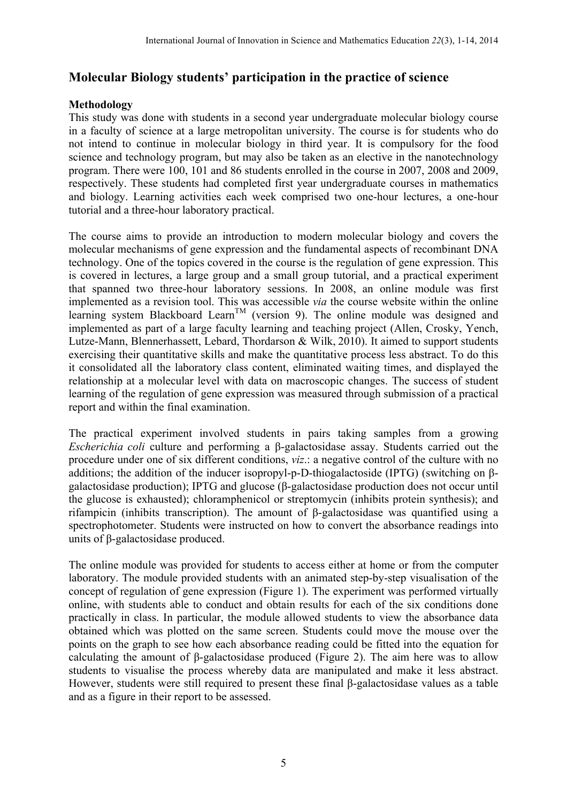# **Molecular Biology students' participation in the practice of science**

### **Methodology**

This study was done with students in a second year undergraduate molecular biology course in a faculty of science at a large metropolitan university. The course is for students who do not intend to continue in molecular biology in third year. It is compulsory for the food science and technology program, but may also be taken as an elective in the nanotechnology program. There were 100, 101 and 86 students enrolled in the course in 2007, 2008 and 2009, respectively. These students had completed first year undergraduate courses in mathematics and biology. Learning activities each week comprised two one-hour lectures, a one-hour tutorial and a three-hour laboratory practical.

The course aims to provide an introduction to modern molecular biology and covers the molecular mechanisms of gene expression and the fundamental aspects of recombinant DNA technology. One of the topics covered in the course is the regulation of gene expression. This is covered in lectures, a large group and a small group tutorial, and a practical experiment that spanned two three-hour laboratory sessions. In 2008, an online module was first implemented as a revision tool. This was accessible *via* the course website within the online learning system Blackboard Learn<sup>TM</sup> (version 9). The online module was designed and implemented as part of a large faculty learning and teaching project (Allen, Crosky, Yench, Lutze-Mann, Blennerhassett, Lebard, Thordarson & Wilk, 2010). It aimed to support students exercising their quantitative skills and make the quantitative process less abstract. To do this it consolidated all the laboratory class content, eliminated waiting times, and displayed the relationship at a molecular level with data on macroscopic changes. The success of student learning of the regulation of gene expression was measured through submission of a practical report and within the final examination.

The practical experiment involved students in pairs taking samples from a growing *Escherichia coli* culture and performing a β-galactosidase assay. Students carried out the procedure under one of six different conditions, *viz*.: a negative control of the culture with no additions; the addition of the inducer isopropyl-p-D-thiogalactoside (IPTG) (switching on βgalactosidase production); IPTG and glucose (β-galactosidase production does not occur until the glucose is exhausted); chloramphenicol or streptomycin (inhibits protein synthesis); and rifampicin (inhibits transcription). The amount of β-galactosidase was quantified using a spectrophotometer. Students were instructed on how to convert the absorbance readings into units of β-galactosidase produced.

The online module was provided for students to access either at home or from the computer laboratory. The module provided students with an animated step-by-step visualisation of the concept of regulation of gene expression (Figure 1). The experiment was performed virtually online, with students able to conduct and obtain results for each of the six conditions done practically in class. In particular, the module allowed students to view the absorbance data obtained which was plotted on the same screen. Students could move the mouse over the points on the graph to see how each absorbance reading could be fitted into the equation for calculating the amount of β-galactosidase produced (Figure 2). The aim here was to allow students to visualise the process whereby data are manipulated and make it less abstract. However, students were still required to present these final β-galactosidase values as a table and as a figure in their report to be assessed.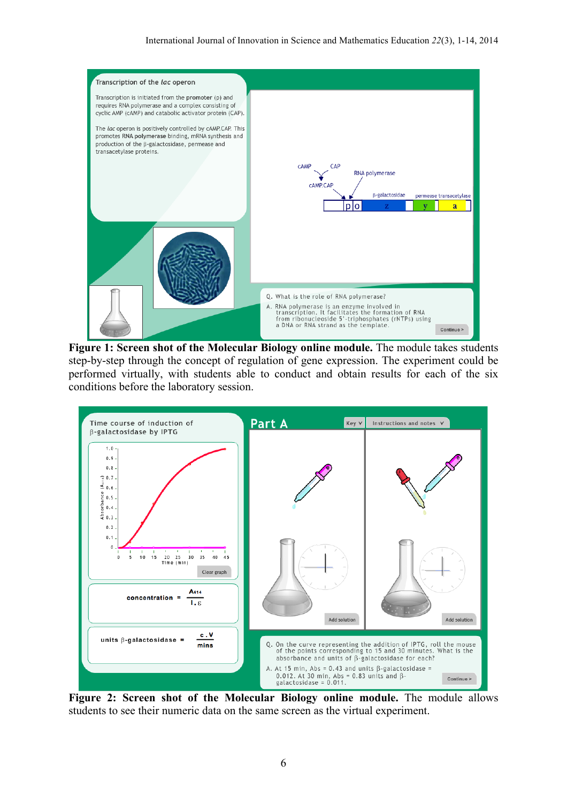

**Figure 1: Screen shot of the Molecular Biology online module.** The module takes students step-by-step through the concept of regulation of gene expression. The experiment could be performed virtually, with students able to conduct and obtain results for each of the six conditions before the laboratory session.



**Figure 2: Screen shot of the Molecular Biology online module.** The module allows students to see their numeric data on the same screen as the virtual experiment.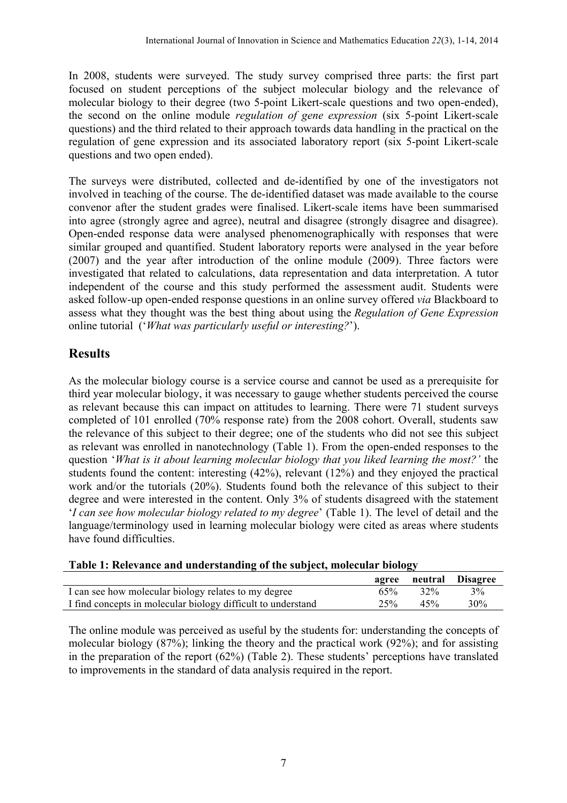In 2008, students were surveyed. The study survey comprised three parts: the first part focused on student perceptions of the subject molecular biology and the relevance of molecular biology to their degree (two 5-point Likert-scale questions and two open-ended), the second on the online module *regulation of gene expression* (six 5-point Likert-scale questions) and the third related to their approach towards data handling in the practical on the regulation of gene expression and its associated laboratory report (six 5-point Likert-scale questions and two open ended).

The surveys were distributed, collected and de-identified by one of the investigators not involved in teaching of the course. The de-identified dataset was made available to the course convenor after the student grades were finalised. Likert-scale items have been summarised into agree (strongly agree and agree), neutral and disagree (strongly disagree and disagree). Open-ended response data were analysed phenomenographically with responses that were similar grouped and quantified. Student laboratory reports were analysed in the year before (2007) and the year after introduction of the online module (2009). Three factors were investigated that related to calculations, data representation and data interpretation. A tutor independent of the course and this study performed the assessment audit. Students were asked follow-up open-ended response questions in an online survey offered *via* Blackboard to assess what they thought was the best thing about using the *Regulation of Gene Expression* online tutorial ('*What was particularly useful or interesting?*').

# **Results**

As the molecular biology course is a service course and cannot be used as a prerequisite for third year molecular biology, it was necessary to gauge whether students perceived the course as relevant because this can impact on attitudes to learning. There were 71 student surveys completed of 101 enrolled (70% response rate) from the 2008 cohort. Overall, students saw the relevance of this subject to their degree; one of the students who did not see this subject as relevant was enrolled in nanotechnology (Table 1). From the open-ended responses to the question '*What is it about learning molecular biology that you liked learning the most?'* the students found the content: interesting (42%), relevant (12%) and they enjoyed the practical work and/or the tutorials (20%). Students found both the relevance of this subject to their degree and were interested in the content. Only 3% of students disagreed with the statement '*I can see how molecular biology related to my degree*' (Table 1). The level of detail and the language/terminology used in learning molecular biology were cited as areas where students have found difficulties.

|                                                              |     |     | agree neutral Disagree |
|--------------------------------------------------------------|-----|-----|------------------------|
| I can see how molecular biology relates to my degree         | 65% | 32% | 3%                     |
| I find concepts in molecular biology difficult to understand | 25% | 45% | $30\%$                 |

### **Table 1: Relevance and understanding of the subject, molecular biology**

The online module was perceived as useful by the students for: understanding the concepts of molecular biology (87%); linking the theory and the practical work (92%); and for assisting in the preparation of the report (62%) (Table 2). These students' perceptions have translated to improvements in the standard of data analysis required in the report.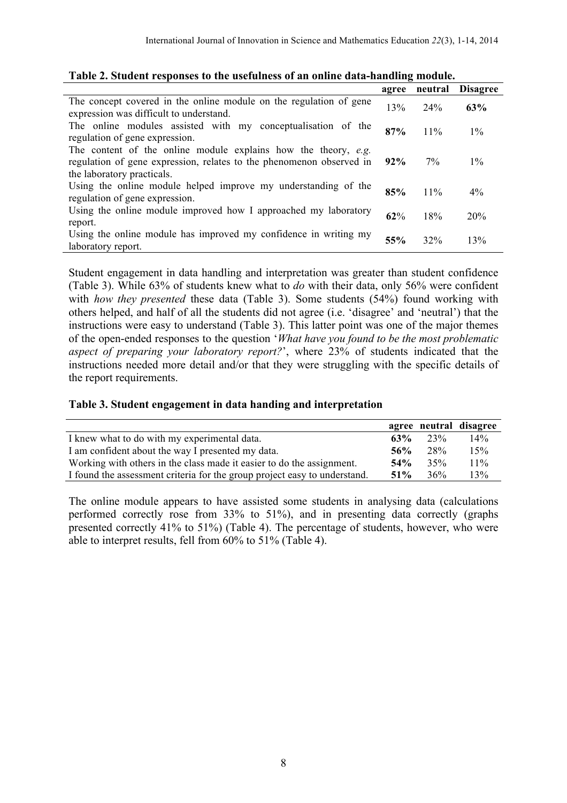| тарге 21 этамент геороноев то тие австанново от ангонние аата напмине поманет                                                                                        |        |         |                 |  |  |
|----------------------------------------------------------------------------------------------------------------------------------------------------------------------|--------|---------|-----------------|--|--|
|                                                                                                                                                                      | agree  | neutral | <b>Disagree</b> |  |  |
| The concept covered in the online module on the regulation of gene<br>expression was difficult to understand.                                                        | 13%    | 24%     | 63%             |  |  |
| The online modules assisted with my conceptualization of the<br>regulation of gene expression.                                                                       | 87%    | $11\%$  | $1\%$           |  |  |
| The content of the online module explains how the theory, e.g.<br>regulation of gene expression, relates to the phenomenon observed in<br>the laboratory practicals. | $92\%$ | $7\%$   | $1\%$           |  |  |
| Using the online module helped improve my understanding of the<br>regulation of gene expression.                                                                     | 85%    | 11%     | $4\%$           |  |  |
| Using the online module improved how I approached my laboratory<br>report.                                                                                           | 62%    | 18%     | 20%             |  |  |
| Using the online module has improved my confidence in writing my<br>laboratory report.                                                                               | 55%    | 32%     | 13%             |  |  |

|  |  |  | Table 2. Student responses to the usefulness of an online data-handling module. |
|--|--|--|---------------------------------------------------------------------------------|
|  |  |  |                                                                                 |

Student engagement in data handling and interpretation was greater than student confidence (Table 3). While 63% of students knew what to *do* with their data, only 56% were confident with *how they presented* these data (Table 3). Some students (54%) found working with others helped, and half of all the students did not agree (i.e. 'disagree' and 'neutral') that the instructions were easy to understand (Table 3). This latter point was one of the major themes of the open-ended responses to the question '*What have you found to be the most problematic aspect of preparing your laboratory report?*', where 23% of students indicated that the instructions needed more detail and/or that they were struggling with the specific details of the report requirements.

|                                                                           |        |     | agree neutral disagree |
|---------------------------------------------------------------------------|--------|-----|------------------------|
| I knew what to do with my experimental data.                              | 63%    | 23% | 14%                    |
| I am confident about the way I presented my data.                         | 56%    | 28% | 15%                    |
| Working with others in the class made it easier to do the assignment.     | 54%    | 35% | $11\%$                 |
| I found the assessment criteria for the group project easy to understand. | $51\%$ | 36% | 13%                    |

The online module appears to have assisted some students in analysing data (calculations performed correctly rose from 33% to 51%), and in presenting data correctly (graphs presented correctly 41% to 51%) (Table 4). The percentage of students, however, who were able to interpret results, fell from 60% to 51% (Table 4).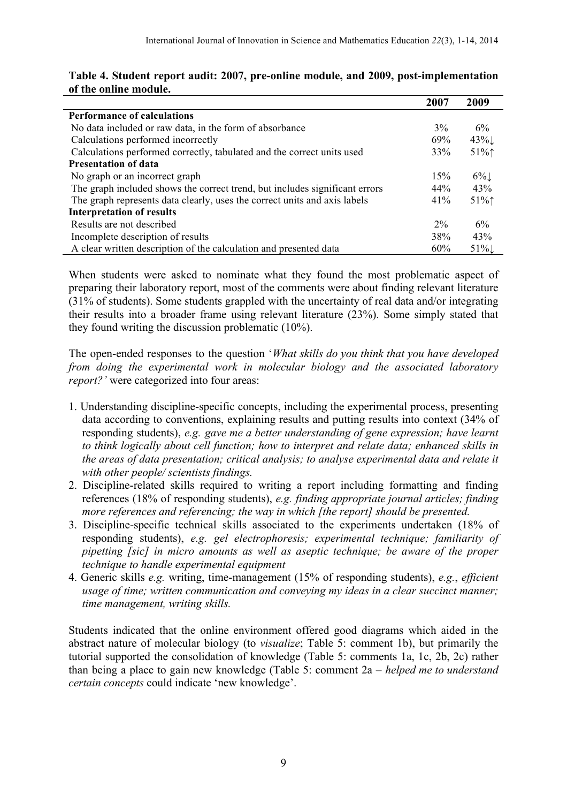|                                                                             | 2007  | 2009   |
|-----------------------------------------------------------------------------|-------|--------|
| <b>Performance of calculations</b>                                          |       |        |
| No data included or raw data, in the form of absorbance                     | 3%    | 6%     |
| Calculations performed incorrectly                                          | 69%   | $43\%$ |
| Calculations performed correctly, tabulated and the correct units used      | 33%   | $51\%$ |
| <b>Presentation of data</b>                                                 |       |        |
| No graph or an incorrect graph                                              | 15%   | $6\%$  |
| The graph included shows the correct trend, but includes significant errors | 44%   | 43%    |
| The graph represents data clearly, uses the correct units and axis labels   | 41%   | $51\%$ |
| <b>Interpretation of results</b>                                            |       |        |
| Results are not described                                                   | $2\%$ | 6%     |
| Incomplete description of results                                           | 38%   | 43%    |
| A clear written description of the calculation and presented data           | 60%   | 51%    |

### **Table 4. Student report audit: 2007, pre-online module, and 2009, post-implementation of the online module.**

When students were asked to nominate what they found the most problematic aspect of preparing their laboratory report, most of the comments were about finding relevant literature (31% of students). Some students grappled with the uncertainty of real data and/or integrating their results into a broader frame using relevant literature (23%). Some simply stated that they found writing the discussion problematic (10%).

The open-ended responses to the question '*What skills do you think that you have developed from doing the experimental work in molecular biology and the associated laboratory report?'* were categorized into four areas:

- 1. Understanding discipline-specific concepts, including the experimental process, presenting data according to conventions, explaining results and putting results into context (34% of responding students), *e.g. gave me a better understanding of gene expression; have learnt to think logically about cell function; how to interpret and relate data; enhanced skills in the areas of data presentation; critical analysis; to analyse experimental data and relate it with other people/ scientists findings.*
- 2. Discipline-related skills required to writing a report including formatting and finding references (18% of responding students), *e.g. finding appropriate journal articles; finding more references and referencing; the way in which [the report] should be presented.*
- 3. Discipline-specific technical skills associated to the experiments undertaken (18% of responding students), *e.g. gel electrophoresis; experimental technique; familiarity of pipetting [sic] in micro amounts as well as aseptic technique; be aware of the proper technique to handle experimental equipment*
- 4. Generic skills *e.g.* writing, time-management (15% of responding students), *e.g.*, *efficient usage of time; written communication and conveying my ideas in a clear succinct manner; time management, writing skills.*

Students indicated that the online environment offered good diagrams which aided in the abstract nature of molecular biology (to *visualize*; Table 5: comment 1b), but primarily the tutorial supported the consolidation of knowledge (Table 5: comments 1a, 1c, 2b, 2c) rather than being a place to gain new knowledge (Table 5: comment 2a – *helped me to understand certain concepts* could indicate 'new knowledge'.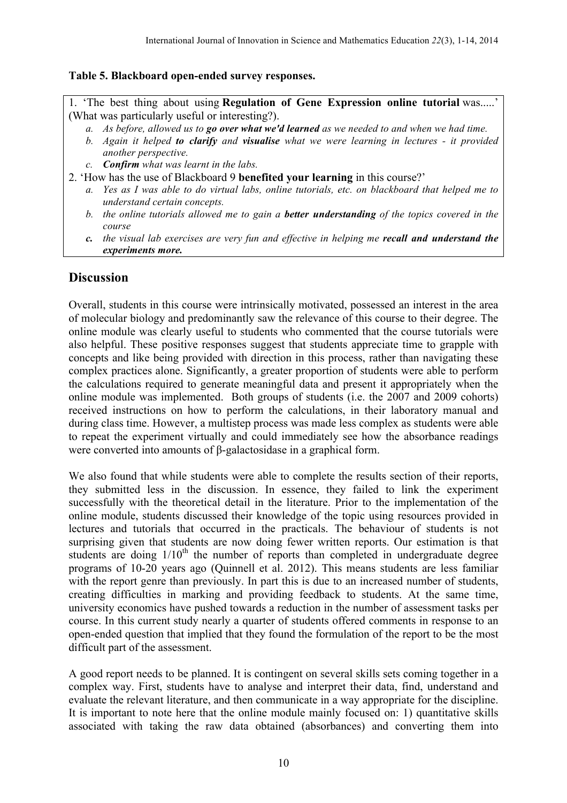### **Table 5. Blackboard open-ended survey responses.**

1. 'The best thing about using **Regulation of Gene Expression online tutorial** was.....' (What was particularly useful or interesting?).

- *a. As before, allowed us to go over what we'd learned as we needed to and when we had time.*
- *b. Again it helped to clarify and visualise what we were learning in lectures - it provided another perspective.*
- *c. Confirm what was learnt in the labs.*
- 2. 'How has the use of Blackboard 9 **benefited your learning** in this course?'
	- *a. Yes as I was able to do virtual labs, online tutorials, etc. on blackboard that helped me to understand certain concepts.*
	- *b. the online tutorials allowed me to gain a better understanding of the topics covered in the course*
	- *c. the visual lab exercises are very fun and effective in helping me recall and understand the experiments more.*

### **Discussion**

Overall, students in this course were intrinsically motivated, possessed an interest in the area of molecular biology and predominantly saw the relevance of this course to their degree. The online module was clearly useful to students who commented that the course tutorials were also helpful. These positive responses suggest that students appreciate time to grapple with concepts and like being provided with direction in this process, rather than navigating these complex practices alone. Significantly, a greater proportion of students were able to perform the calculations required to generate meaningful data and present it appropriately when the online module was implemented. Both groups of students (i.e. the 2007 and 2009 cohorts) received instructions on how to perform the calculations, in their laboratory manual and during class time. However, a multistep process was made less complex as students were able to repeat the experiment virtually and could immediately see how the absorbance readings were converted into amounts of β-galactosidase in a graphical form.

We also found that while students were able to complete the results section of their reports, they submitted less in the discussion. In essence, they failed to link the experiment successfully with the theoretical detail in the literature. Prior to the implementation of the online module, students discussed their knowledge of the topic using resources provided in lectures and tutorials that occurred in the practicals. The behaviour of students is not surprising given that students are now doing fewer written reports. Our estimation is that students are doing  $1/10<sup>th</sup>$  the number of reports than completed in undergraduate degree programs of 10-20 years ago (Quinnell et al. 2012). This means students are less familiar with the report genre than previously. In part this is due to an increased number of students, creating difficulties in marking and providing feedback to students. At the same time, university economics have pushed towards a reduction in the number of assessment tasks per course. In this current study nearly a quarter of students offered comments in response to an open-ended question that implied that they found the formulation of the report to be the most difficult part of the assessment.

A good report needs to be planned. It is contingent on several skills sets coming together in a complex way. First, students have to analyse and interpret their data, find, understand and evaluate the relevant literature, and then communicate in a way appropriate for the discipline. It is important to note here that the online module mainly focused on: 1) quantitative skills associated with taking the raw data obtained (absorbances) and converting them into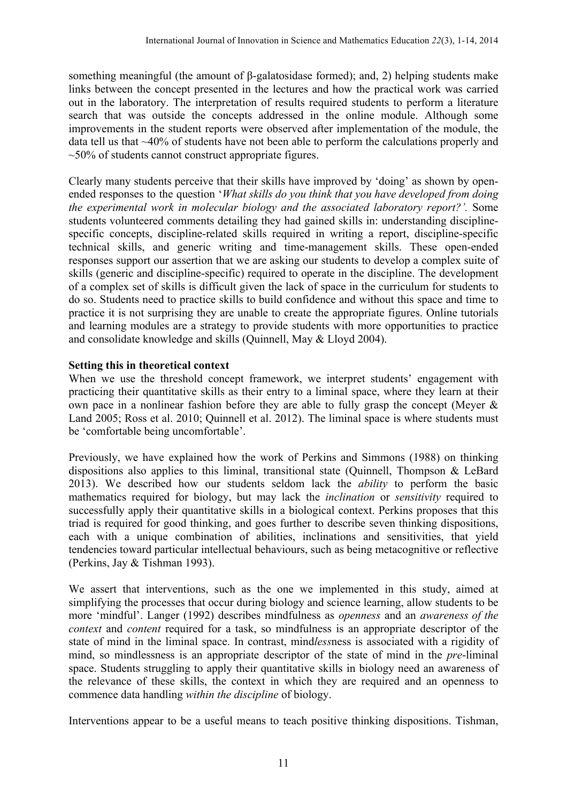something meaningful (the amount of β-galatosidase formed); and, 2) helping students make links between the concept presented in the lectures and how the practical work was carried out in the laboratory. The interpretation of results required students to perform a literature search that was outside the concepts addressed in the online module. Although some improvements in the student reports were observed after implementation of the module, the data tell us that ~40% of students have not been able to perform the calculations properly and  $\approx$ 50% of students cannot construct appropriate figures.

Clearly many students perceive that their skills have improved by 'doing' as shown by openended responses to the question '*What skills do you think that you have developed from doing the experimental work in molecular biology and the associated laboratory report?'.* Some students volunteered comments detailing they had gained skills in: understanding disciplinespecific concepts, discipline-related skills required in writing a report, discipline-specific technical skills, and generic writing and time-management skills. These open-ended responses support our assertion that we are asking our students to develop a complex suite of skills (generic and discipline-specific) required to operate in the discipline. The development of a complex set of skills is difficult given the lack of space in the curriculum for students to do so. Students need to practice skills to build confidence and without this space and time to practice it is not surprising they are unable to create the appropriate figures. Online tutorials and learning modules are a strategy to provide students with more opportunities to practice and consolidate knowledge and skills (Quinnell, May & Lloyd 2004).

### **Setting this in theoretical context**

When we use the threshold concept framework, we interpret students' engagement with practicing their quantitative skills as their entry to a liminal space, where they learn at their own pace in a nonlinear fashion before they are able to fully grasp the concept (Meyer  $\&$ Land 2005; Ross et al. 2010; Quinnell et al. 2012). The liminal space is where students must be 'comfortable being uncomfortable'.

Previously, we have explained how the work of Perkins and Simmons (1988) on thinking dispositions also applies to this liminal, transitional state (Quinnell, Thompson & LeBard 2013). We described how our students seldom lack the *ability* to perform the basic mathematics required for biology, but may lack the *inclination* or *sensitivity* required to successfully apply their quantitative skills in a biological context. Perkins proposes that this triad is required for good thinking, and goes further to describe seven thinking dispositions, each with a unique combination of abilities, inclinations and sensitivities, that yield tendencies toward particular intellectual behaviours, such as being metacognitive or reflective (Perkins, Jay & Tishman 1993).

We assert that interventions, such as the one we implemented in this study, aimed at simplifying the processes that occur during biology and science learning, allow students to be more 'mindful'. Langer (1992) describes mindfulness as *openness* and an *awareness of the context* and *content* required for a task, so mindfulness is an appropriate descriptor of the state of mind in the liminal space. In contrast, mind*less*ness is associated with a rigidity of mind, so mindlessness is an appropriate descriptor of the state of mind in the *pre*-liminal space. Students struggling to apply their quantitative skills in biology need an awareness of the relevance of these skills, the context in which they are required and an openness to commence data handling *within the discipline* of biology.

Interventions appear to be a useful means to teach positive thinking dispositions. Tishman,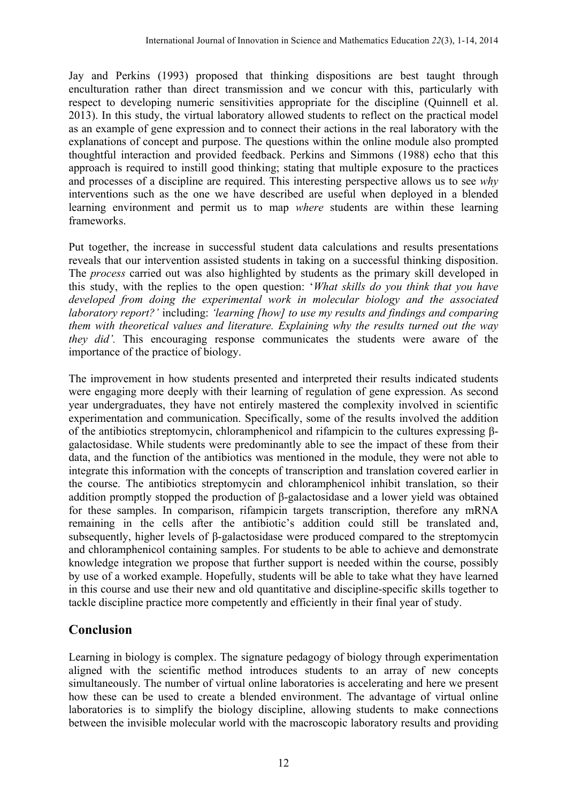Jay and Perkins (1993) proposed that thinking dispositions are best taught through enculturation rather than direct transmission and we concur with this, particularly with respect to developing numeric sensitivities appropriate for the discipline (Quinnell et al. 2013). In this study, the virtual laboratory allowed students to reflect on the practical model as an example of gene expression and to connect their actions in the real laboratory with the explanations of concept and purpose. The questions within the online module also prompted thoughtful interaction and provided feedback. Perkins and Simmons (1988) echo that this approach is required to instill good thinking; stating that multiple exposure to the practices and processes of a discipline are required. This interesting perspective allows us to see *why* interventions such as the one we have described are useful when deployed in a blended learning environment and permit us to map *where* students are within these learning frameworks.

Put together, the increase in successful student data calculations and results presentations reveals that our intervention assisted students in taking on a successful thinking disposition. The *process* carried out was also highlighted by students as the primary skill developed in this study, with the replies to the open question: '*What skills do you think that you have developed from doing the experimental work in molecular biology and the associated laboratory report?'* including: *'learning [how] to use my results and findings and comparing them with theoretical values and literature. Explaining why the results turned out the way they did'.* This encouraging response communicates the students were aware of the importance of the practice of biology.

The improvement in how students presented and interpreted their results indicated students were engaging more deeply with their learning of regulation of gene expression. As second year undergraduates, they have not entirely mastered the complexity involved in scientific experimentation and communication. Specifically, some of the results involved the addition of the antibiotics streptomycin, chloramphenicol and rifampicin to the cultures expressing βgalactosidase. While students were predominantly able to see the impact of these from their data, and the function of the antibiotics was mentioned in the module, they were not able to integrate this information with the concepts of transcription and translation covered earlier in the course. The antibiotics streptomycin and chloramphenicol inhibit translation, so their addition promptly stopped the production of β-galactosidase and a lower yield was obtained for these samples. In comparison, rifampicin targets transcription, therefore any mRNA remaining in the cells after the antibiotic's addition could still be translated and, subsequently, higher levels of β-galactosidase were produced compared to the streptomycin and chloramphenicol containing samples. For students to be able to achieve and demonstrate knowledge integration we propose that further support is needed within the course, possibly by use of a worked example. Hopefully, students will be able to take what they have learned in this course and use their new and old quantitative and discipline-specific skills together to tackle discipline practice more competently and efficiently in their final year of study.

# **Conclusion**

Learning in biology is complex. The signature pedagogy of biology through experimentation aligned with the scientific method introduces students to an array of new concepts simultaneously. The number of virtual online laboratories is accelerating and here we present how these can be used to create a blended environment. The advantage of virtual online laboratories is to simplify the biology discipline, allowing students to make connections between the invisible molecular world with the macroscopic laboratory results and providing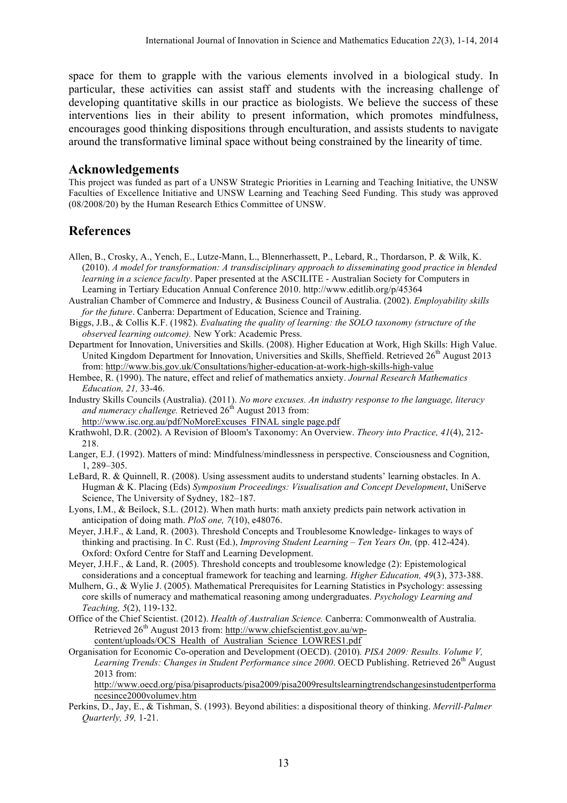space for them to grapple with the various elements involved in a biological study. In particular, these activities can assist staff and students with the increasing challenge of developing quantitative skills in our practice as biologists. We believe the success of these interventions lies in their ability to present information, which promotes mindfulness, encourages good thinking dispositions through enculturation, and assists students to navigate around the transformative liminal space without being constrained by the linearity of time.

#### **Acknowledgements**

This project was funded as part of a UNSW Strategic Priorities in Learning and Teaching Initiative, the UNSW Faculties of Excellence Initiative and UNSW Learning and Teaching Seed Funding. This study was approved (08/2008/20) by the Human Research Ethics Committee of UNSW.

### **References**

- Allen, B., Crosky, A., Yench, E., Lutze-Mann, L., Blennerhassett, P., Lebard, R., Thordarson, P. & Wilk, K. (2010). *A model for transformation: A transdisciplinary approach to disseminating good practice in blended learning in a science faculty*. Paper presented at the ASCILITE - Australian Society for Computers in Learning in Tertiary Education Annual Conference 2010. http://www.editlib.org/p/45364
- Australian Chamber of Commerce and Industry, & Business Council of Australia. (2002). *Employability skills for the future*. Canberra: Department of Education, Science and Training.
- Biggs, J.B., & Collis K.F. (1982). *Evaluating the quality of learning: the SOLO taxonomy (structure of the observed learning outcome).* New York: Academic Press.
- Department for Innovation, Universities and Skills. (2008). Higher Education at Work, High Skills: High Value. United Kingdom Department for Innovation, Universities and Skills, Sheffield. Retrieved 26<sup>th</sup> August 2013 from: http://www.bis.gov.uk/Consultations/higher-education-at-work-high-skills-high-value

Hembee, R. (1990). The nature, effect and relief of mathematics anxiety. *Journal Research Mathematics Education, 21,* 33-46.

Industry Skills Councils (Australia). (2011). *No more excuses. An industry response to the language, literacy*  and numeracy challenge. Retrieved 26<sup>th</sup> August 2013 from:

http://www.isc.org.au/pdf/NoMoreExcuses\_FINAL single page.pdf

- Krathwohl, D.R. (2002). A Revision of Bloom's Taxonomy: An Overview. *Theory into Practice, 41*(4), 212- 218.
- Langer, E.J. (1992). Matters of mind: Mindfulness/mindlessness in perspective. Consciousness and Cognition, 1, 289–305.
- LeBard, R. & Quinnell, R. (2008). Using assessment audits to understand students' learning obstacles. In A. Hugman & K. Placing (Eds) *Symposium Proceedings: Visualisation and Concept Development*, UniServe Science, The University of Sydney, 182–187.
- Lyons, I.M., & Beilock, S.L. (2012). When math hurts: math anxiety predicts pain network activation in anticipation of doing math. *PloS one, 7*(10), e48076.
- Meyer, J.H.F., & Land, R. (2003). Threshold Concepts and Troublesome Knowledge- linkages to ways of thinking and practising. In C. Rust (Ed.), *Improving Student Learning – Ten Years On,* (pp. 412-424). Oxford: Oxford Centre for Staff and Learning Development.
- Meyer, J.H.F., & Land, R. (2005). Threshold concepts and troublesome knowledge (2): Epistemological considerations and a conceptual framework for teaching and learning. *Higher Education, 49*(3), 373-388.
- Mulhern, G., & Wylie J. (2005). Mathematical Prerequisites for Learning Statistics in Psychology: assessing core skills of numeracy and mathematical reasoning among undergraduates. *Psychology Learning and Teaching, 5*(2), 119-132.
- Office of the Chief Scientist. (2012). *Health of Australian Science.* Canberra: Commonwealth of Australia. Retrieved 26<sup>th</sup> August 2013 from: http://www.chiefscientist.gov.au/wpcontent/uploads/OCS\_Health\_of\_Australian\_Science\_LOWRES1.pdf
- Organisation for Economic Co-operation and Development (OECD). (2010)*. PISA 2009: Results. Volume V, Learning Trends: Changes in Student Performance since 2000.* OECD Publishing. Retrieved 26<sup>th</sup> August 2013 from:

http://www.oecd.org/pisa/pisaproducts/pisa2009/pisa2009resultslearningtrendschangesinstudentperforma ncesince2000volumev.htm

Perkins, D., Jay, E., & Tishman, S. (1993). Beyond abilities: a dispositional theory of thinking. *Merrill-Palmer Quarterly, 39,* 1-21.